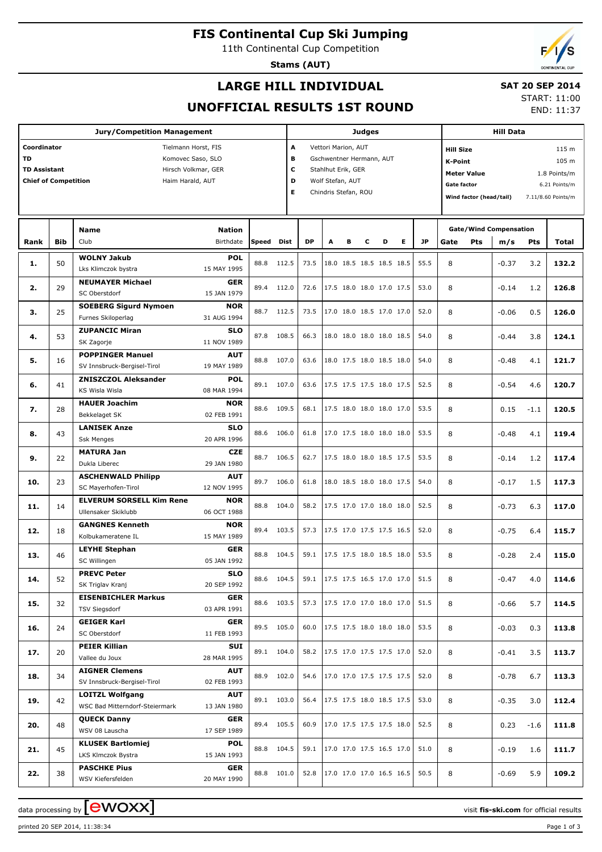**FIS Continental Cup Ski Jumping**

11th Continental Cup Competition

**Stams (AUT)**

### **LARGE HILL INDIVIDUAL**

#### **SAT 20 SEP 2014**

**UNOFFICIAL RESULTS 1ST ROUND**

START: 11:00 END: 11:37

|                                                                                |            | <b>Judges</b>                                                                         |                                         |                                                                                                                                            |                |              |   |   |   | <b>Hill Data</b>                                     |                                                                                                                          |              |        |                                              |                                                 |            |                |
|--------------------------------------------------------------------------------|------------|---------------------------------------------------------------------------------------|-----------------------------------------|--------------------------------------------------------------------------------------------------------------------------------------------|----------------|--------------|---|---|---|------------------------------------------------------|--------------------------------------------------------------------------------------------------------------------------|--------------|--------|----------------------------------------------|-------------------------------------------------|------------|----------------|
| Coordinator<br><b>TD</b><br><b>TD Assistant</b><br><b>Chief of Competition</b> |            | Tielmann Horst, FIS<br>Komovec Saso, SLO<br>Hirsch Volkmar, GER<br>Haim Harald, AUT   |                                         | A<br>Vettori Marion, AUT<br>в<br>Gschwentner Hermann, AUT<br>c<br>Stahlhut Erik, GER<br>D<br>Wolf Stefan, AUT<br>Е<br>Chindris Stefan, ROU |                |              |   |   |   |                                                      | <b>Hill Size</b><br>K-Point<br><b>Meter Value</b><br><b>Gate factor</b><br>Wind factor (head/tail)<br>7.11/8.60 Points/m |              |        |                                              | 115 m<br>105 m<br>1.8 Points/m<br>6.21 Points/m |            |                |
| Rank                                                                           | <b>Bib</b> | Name<br>Club                                                                          | <b>Nation</b><br>Birthdate              | Speed                                                                                                                                      | <b>Dist</b>    | <b>DP</b>    | A | в | c | D                                                    | Е                                                                                                                        | JP           |        | <b>Gate/Wind Compensation</b><br>Pts<br>Gate |                                                 | Pts        | Total          |
| 1.                                                                             | 50         | <b>WOLNY Jakub</b><br>Lks Klimczok bystra                                             | <b>POL</b><br>15 MAY 1995               | 88.8                                                                                                                                       | 112.5          | 73.5         |   |   |   | 18.0 18.5 18.5 18.5 18.5                             |                                                                                                                          | 55.5         | 8      |                                              | m/s<br>$-0.37$                                  | 3.2        | 132.2          |
| 2.                                                                             | 29         | <b>NEUMAYER Michael</b><br>SC Oberstdorf                                              | <b>GER</b><br>15 JAN 1979               | 89.4                                                                                                                                       | 112.0          | 72.6         |   |   |   | 17.5 18.0 18.0 17.0 17.5                             |                                                                                                                          | 53.0         | 8      |                                              | $-0.14$                                         | 1.2        | 126.8          |
| з.                                                                             | 25         | <b>SOEBERG Sigurd Nymoen</b><br>Furnes Skiloperlag                                    | <b>NOR</b><br>31 AUG 1994               | 88.7                                                                                                                                       | 112.5          | 73.5         |   |   |   | 17.0 18.0 18.5 17.0 17.0                             |                                                                                                                          | 52.0         | 8      |                                              | $-0.06$                                         | 0.5        | 126.0          |
| 4.                                                                             | 53         | <b>ZUPANCIC Miran</b><br>SK Zagorje                                                   | <b>SLO</b><br>11 NOV 1989               | 87.8                                                                                                                                       | 108.5          | 66.3         |   |   |   | 18.0 18.0 18.0 18.0 18.5                             |                                                                                                                          | 54.0         | 8      |                                              | $-0.44$                                         | 3.8        | 124.1          |
| 5.                                                                             | 16         | <b>POPPINGER Manuel</b><br>SV Innsbruck-Bergisel-Tirol<br><b>ZNISZCZOL Aleksander</b> | <b>AUT</b><br>19 MAY 1989<br><b>POL</b> | 88.8                                                                                                                                       | 107.0          | 63.6         |   |   |   | 18.0 17.5 18.0 18.5 18.0                             |                                                                                                                          | 54.0         | 8      |                                              | $-0.48$                                         | 4.1        | 121.7          |
| 6.                                                                             | 41         | KS Wisla Wisla<br><b>HAUER Joachim</b>                                                | 08 MAR 1994<br><b>NOR</b>               | 89.1                                                                                                                                       | 107.0          | 63.6         |   |   |   | 17.5 17.5 17.5 18.0 17.5                             |                                                                                                                          | 52.5         | 8      |                                              | $-0.54$                                         | 4.6        | 120.7          |
| 7.                                                                             | 28         | Bekkelaget SK<br><b>LANISEK Anze</b>                                                  | 02 FEB 1991<br><b>SLO</b>               | 88.6                                                                                                                                       | 109.5          | 68.1         |   |   |   | 17.5 18.0 18.0 18.0 17.0                             |                                                                                                                          | 53.5         | 8      |                                              | 0.15                                            | $-1.1$     | 120.5          |
| 8.                                                                             | 43         | <b>Ssk Menges</b><br><b>MATURA Jan</b>                                                | 20 APR 1996<br><b>CZE</b>               | 88.6                                                                                                                                       | 106.0          | 61.8         |   |   |   | 17.0 17.5 18.0 18.0 18.0                             |                                                                                                                          | 53.5         | 8      |                                              | $-0.48$                                         | 4.1        | 119.4          |
| 9.                                                                             | 22         | Dukla Liberec<br><b>ASCHENWALD Philipp</b>                                            | 29 JAN 1980<br><b>AUT</b>               | 88.7                                                                                                                                       | 106.5          | 62.7         |   |   |   | 17.5 18.0 18.0 18.5 17.5                             |                                                                                                                          | 53.5         | 8      |                                              | $-0.14$                                         | 1.2        | 117.4          |
| 10.<br>11.                                                                     | 23<br>14   | SC Mayerhofen-Tirol<br><b>ELVERUM SORSELL Kim Rene</b>                                | 12 NOV 1995<br><b>NOR</b>               | 89.7<br>88.8                                                                                                                               | 106.0<br>104.0 | 61.8<br>58.2 |   |   |   | 18.0 18.5 18.0 18.0 17.5<br>17.5 17.0 17.0 18.0 18.0 |                                                                                                                          | 54.0<br>52.5 | 8<br>8 |                                              | $-0.17$<br>$-0.73$                              | 1.5<br>6.3 | 117.3<br>117.0 |
| 12.                                                                            | 18         | Ullensaker Skiklubb<br><b>GANGNES Kenneth</b>                                         | 06 OCT 1988<br><b>NOR</b>               | 89.4                                                                                                                                       | 103.5          | 57.3         |   |   |   | 17.5 17.0 17.5 17.5 16.5                             |                                                                                                                          | 52.0         | 8      |                                              | $-0.75$                                         | 6.4        | 115.7          |
| 13.                                                                            | 46         | Kolbukameratene IL<br><b>LEYHE Stephan</b>                                            | 15 MAY 1989<br><b>GER</b>               | 88.8                                                                                                                                       | 104.5          | 59.1         |   |   |   | 17.5 17.5 18.0 18.5 18.0                             |                                                                                                                          | 53.5         | 8      |                                              | $-0.28$                                         | 2.4        | 115.0          |
| 14.                                                                            | 52         | SC Willingen<br><b>PREVC Peter</b>                                                    | 05 JAN 1992<br><b>SLO</b>               | 88.6                                                                                                                                       | 104.5          |              |   |   |   | 59.1   17.5 17.5 16.5 17.0 17.0                      |                                                                                                                          | 51.5         | 8      |                                              | $-0.47$                                         | 4.0        | 114.6          |
| 15.                                                                            | 32         | SK Triglav Kranj<br><b>EISENBICHLER Markus</b><br><b>TSV Siegsdorf</b>                | 20 SEP 1992<br>GER<br>03 APR 1991       | 88.6                                                                                                                                       | 103.5          | 57.3         |   |   |   | 17.5 17.0 17.0 18.0 17.0                             |                                                                                                                          | 51.5         | 8      |                                              | $-0.66$                                         | 5.7        | 114.5          |
| 16.                                                                            | 24         | <b>GEIGER Karl</b><br>SC Oberstdorf                                                   | GER<br>11 FEB 1993                      | 89.5                                                                                                                                       | 105.0          | 60.0         |   |   |   | 17.5 17.5 18.0 18.0 18.0                             |                                                                                                                          | 53.5         | 8      |                                              | $-0.03$                                         | 0.3        | 113.8          |
| 17.                                                                            | 20         | <b>PEIER Killian</b><br>Vallee du Joux                                                | SUI<br>28 MAR 1995                      |                                                                                                                                            | 89.1 104.0     | 58.2         |   |   |   | 17.5 17.0 17.5 17.5 17.0                             |                                                                                                                          | 52.0         | 8      |                                              | $-0.41$                                         | 3.5        | 113.7          |
| 18.                                                                            | 34         | <b>AIGNER Clemens</b><br>SV Innsbruck-Bergisel-Tirol                                  | <b>AUT</b><br>02 FEB 1993               | 88.9                                                                                                                                       | 102.0          | 54.6         |   |   |   | 17.0 17.0 17.5 17.5 17.5                             |                                                                                                                          | 52.0         | 8      |                                              | $-0.78$                                         | 6.7        | 113.3          |
| 19.                                                                            | 42         | <b>LOITZL Wolfgang</b><br>WSC Bad Mitterndorf-Steiermark                              | <b>AUT</b><br>13 JAN 1980               |                                                                                                                                            | 89.1 103.0     | 56.4         |   |   |   | 17.5 17.5 18.0 18.5 17.5                             |                                                                                                                          | 53.0         | 8      |                                              | $-0.35$                                         | 3.0        | 112.4          |
| 20.                                                                            | 48         | <b>QUECK Danny</b><br>WSV 08 Lauscha                                                  | GER<br>17 SEP 1989                      |                                                                                                                                            | 89.4 105.5     | 60.9         |   |   |   | 17.0 17.5 17.5 17.5 18.0                             |                                                                                                                          | 52.5         | 8      |                                              | 0.23                                            | $-1.6$     | 111.8          |
| 21.                                                                            | 45         | <b>KLUSEK Bartlomiej</b><br>LKS Klmczok Bystra                                        | <b>POL</b><br>15 JAN 1993               | 88.8                                                                                                                                       | 104.5          | 59.1         |   |   |   | 17.0 17.0 17.5 16.5 17.0                             |                                                                                                                          | 51.0         | 8      |                                              | -0.19                                           | 1.6        | 111.7          |
| 22.                                                                            | 38         | <b>PASCHKE Pius</b><br>WSV Kiefersfelden                                              | GER<br>20 MAY 1990                      | 88.8                                                                                                                                       | 101.0          | 52.8         |   |   |   | 17.0 17.0 17.0 16.5 16.5                             |                                                                                                                          | 50.5         | 8      |                                              | $-0.69$                                         | 5.9        | 109.2          |

printed 20 SEP 2014, 11:38:34 Page 1 of 3

data processing by **CWOXX** The state of the state of the visit **fis-ski.com** for official results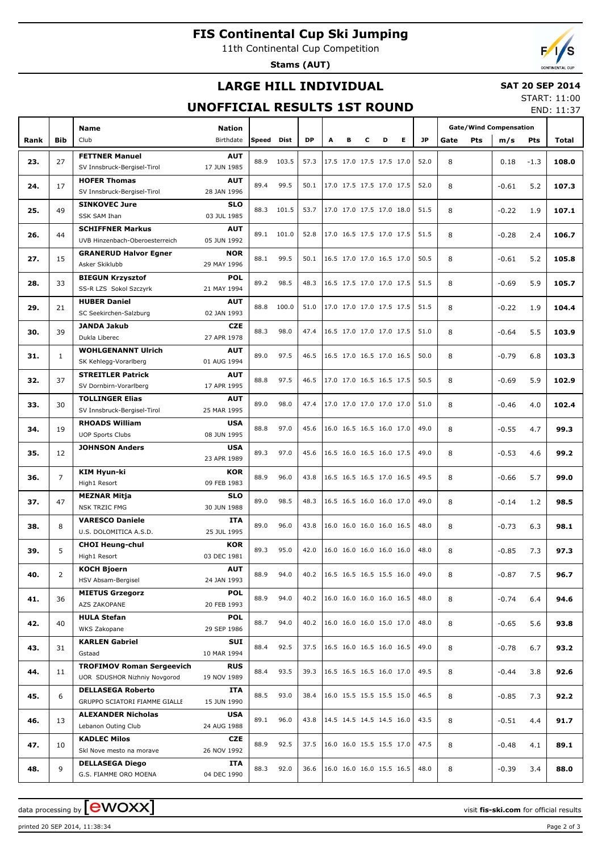# **FIS Continental Cup Ski Jumping**

11th Continental Cup Competition

**Stams (AUT)**

## **LARGE HILL INDIVIDUAL**

#### **SAT 20 SEP 2014** START: 11:00

## **UNOFFICIAL RESULTS 1ST ROUND**

END: 11:37

|      |                | <b>Name</b>                                 |                           |       |       |      |   |   |   |                          |    |      | <b>Gate/Wind Compensation</b> |         |        |       |
|------|----------------|---------------------------------------------|---------------------------|-------|-------|------|---|---|---|--------------------------|----|------|-------------------------------|---------|--------|-------|
| Rank | Bib            | Club                                        | Nation<br>Birthdate       | Speed | Dist  | DP   | A | в | c | D                        | E. | JP.  | Gate<br>Pts                   | m/s     | Pts    | Total |
|      |                |                                             |                           |       |       |      |   |   |   |                          |    |      |                               |         |        |       |
| 23.  | 27             | <b>FETTNER Manuel</b>                       | <b>AUT</b>                | 88.9  | 103.5 | 57.3 |   |   |   | 17.5 17.0 17.5 17.5 17.0 |    | 52.0 | 8                             | 0.18    | $-1.3$ | 108.0 |
|      |                | SV Innsbruck-Bergisel-Tirol                 | 17 JUN 1985               |       |       |      |   |   |   |                          |    |      |                               |         |        |       |
| 24.  | 17             | <b>HOFER Thomas</b>                         | <b>AUT</b><br>28 JAN 1996 | 89.4  | 99.5  | 50.1 |   |   |   | 17.0 17.5 17.5 17.0 17.5 |    | 52.0 | 8                             | $-0.61$ | 5.2    | 107.3 |
|      |                | SV Innsbruck-Bergisel-Tirol                 |                           |       |       |      |   |   |   |                          |    |      |                               |         |        |       |
| 25.  | 49             | <b>SINKOVEC Jure</b><br><b>SSK SAM Ihan</b> | <b>SLO</b><br>03 JUL 1985 | 88.3  | 101.5 | 53.7 |   |   |   | 17.0 17.0 17.5 17.0 18.0 |    | 51.5 | 8                             | $-0.22$ | 1.9    | 107.1 |
|      |                | <b>SCHIFFNER Markus</b>                     | <b>AUT</b>                |       |       |      |   |   |   |                          |    |      |                               |         |        |       |
| 26.  | 44             | UVB Hinzenbach-Oberoesterreich              | 05 JUN 1992               | 89.1  | 101.0 | 52.8 |   |   |   | 17.0 16.5 17.5 17.0 17.5 |    | 51.5 | 8                             | $-0.28$ | 2.4    | 106.7 |
|      |                | <b>GRANERUD Halvor Egner</b>                | <b>NOR</b>                |       |       |      |   |   |   |                          |    |      |                               |         |        |       |
| 27.  | 15             | Asker Skiklubb                              | 29 MAY 1996               | 88.1  | 99.5  | 50.1 |   |   |   | 16.5 17.0 17.0 16.5 17.0 |    | 50.5 | 8                             | $-0.61$ | 5.2    | 105.8 |
|      |                | <b>BIEGUN Krzysztof</b>                     | <b>POL</b>                |       |       |      |   |   |   |                          |    |      |                               |         |        |       |
| 28.  | 33             | SS-R LZS Sokol Szczyrk                      | 21 MAY 1994               | 89.2  | 98.5  | 48.3 |   |   |   | 16.5 17.5 17.0 17.0 17.5 |    | 51.5 | 8                             | $-0.69$ | 5.9    | 105.7 |
|      |                | <b>HUBER Daniel</b>                         | <b>AUT</b>                |       |       |      |   |   |   |                          |    |      |                               |         |        |       |
| 29.  | 21             | SC Seekirchen-Salzburg                      | 02 JAN 1993               | 88.8  | 100.0 | 51.0 |   |   |   | 17.0 17.0 17.0 17.5 17.5 |    | 51.5 | 8                             | $-0.22$ | 1.9    | 104.4 |
|      |                | <b>JANDA Jakub</b>                          | CZE                       |       |       |      |   |   |   |                          |    |      |                               |         |        |       |
| 30.  | 39             | Dukla Liberec                               | 27 APR 1978               | 88.3  | 98.0  | 47.4 |   |   |   | 16.5 17.0 17.0 17.0 17.5 |    | 51.0 | 8                             | $-0.64$ | 5.5    | 103.9 |
|      |                | <b>WOHLGENANNT Ulrich</b>                   | <b>AUT</b>                |       |       |      |   |   |   |                          |    |      |                               |         |        |       |
| 31.  | $\mathbf{1}$   | SK Kehlegg-Vorarlberg                       | 01 AUG 1994               | 89.0  | 97.5  | 46.5 |   |   |   | 16.5 17.0 16.5 17.0 16.5 |    | 50.0 | 8                             | $-0.79$ | 6.8    | 103.3 |
|      |                | <b>STREITLER Patrick</b>                    | <b>AUT</b>                |       | 97.5  |      |   |   |   | 17.0 17.0 16.5 16.5 17.5 |    |      |                               |         |        |       |
| 32.  | 37             | SV Dornbirn-Vorarlberg                      | 17 APR 1995               | 88.8  |       | 46.5 |   |   |   |                          |    | 50.5 | 8                             | $-0.69$ | 5.9    | 102.9 |
| 33.  | 30             | <b>TOLLINGER Elias</b>                      | <b>AUT</b>                | 89.0  | 98.0  | 47.4 |   |   |   | 17.0 17.0 17.0 17.0 17.0 |    | 51.0 | 8                             | $-0.46$ | 4.0    | 102.4 |
|      |                | SV Innsbruck-Bergisel-Tirol                 | 25 MAR 1995               |       |       |      |   |   |   |                          |    |      |                               |         |        |       |
| 34.  | 19             | <b>RHOADS William</b>                       | <b>USA</b>                | 88.8  | 97.0  | 45.6 |   |   |   | 16.0 16.5 16.5 16.0 17.0 |    | 49.0 | 8                             | $-0.55$ | 4.7    | 99.3  |
|      |                | <b>UOP Sports Clubs</b>                     | 08 JUN 1995               |       |       |      |   |   |   |                          |    |      |                               |         |        |       |
| 35.  | 12             | <b>JOHNSON Anders</b>                       | <b>USA</b>                | 89.3  | 97.0  | 45.6 |   |   |   | 16.5 16.0 16.5 16.0 17.5 |    | 49.0 | 8                             | $-0.53$ | 4.6    | 99.2  |
|      |                |                                             | 23 APR 1989               |       |       |      |   |   |   |                          |    |      |                               |         |        |       |
| 36.  | $\overline{7}$ | KIM Hyun-ki                                 | KOR                       | 88.9  | 96.0  | 43.8 |   |   |   | 16.5 16.5 16.5 17.0 16.5 |    | 49.5 | 8                             | $-0.66$ | 5.7    | 99.0  |
|      |                | High1 Resort                                | 09 FEB 1983               |       |       |      |   |   |   |                          |    |      |                               |         |        |       |
| 37.  | 47             | <b>MEZNAR Mitja</b>                         | <b>SLO</b>                | 89.0  | 98.5  | 48.3 |   |   |   | 16.5 16.5 16.0 16.0 17.0 |    | 49.0 | 8                             | $-0.14$ | 1.2    | 98.5  |
|      |                | <b>NSK TRZIC FMG</b>                        | 30 JUN 1988               |       |       |      |   |   |   |                          |    |      |                               |         |        |       |
| 38.  | 8              | <b>VARESCO Daniele</b>                      | ITA                       | 89.0  | 96.0  | 43.8 |   |   |   | 16.0 16.0 16.0 16.0 16.5 |    | 48.0 | 8                             | $-0.73$ | 6.3    | 98.1  |
|      |                | U.S. DOLOMITICA A.S.D.                      | 25 JUL 1995               |       |       |      |   |   |   |                          |    |      |                               |         |        |       |
| 39.  | 5              | <b>CHOI Heung-chul</b><br>High1 Resort      | KOR<br>03 DEC 1981        | 89.3  | 95.0  | 42.0 |   |   |   | 16.0 16.0 16.0 16.0 16.0 |    | 48.0 | 8                             | $-0.85$ | 7.3    | 97.3  |
|      |                | KOCH Bjoern                                 | <b>AUT</b>                |       |       |      |   |   |   |                          |    |      |                               |         |        |       |
| 40.  | 2              | HSV Absam-Bergisel                          | 24 JAN 1993               | 88.9  | 94.0  | 40.2 |   |   |   | 16.5 16.5 16.5 15.5 16.0 |    | 49.0 | 8                             | $-0.87$ | 7.5    | 96.7  |
|      |                | <b>MIETUS Grzegorz</b>                      | <b>POL</b>                |       |       |      |   |   |   |                          |    |      |                               |         |        |       |
| 41.  | 36             | AZS ZAKOPANE                                | 20 FEB 1993               | 88.9  | 94.0  | 40.2 |   |   |   | 16.0 16.0 16.0 16.0 16.5 |    | 48.0 | 8                             | $-0.74$ | 6.4    | 94.6  |
|      |                | <b>HULA Stefan</b>                          | <b>POL</b>                |       |       |      |   |   |   |                          |    |      |                               |         |        |       |
| 42.  | 40             | WKS Zakopane                                | 29 SEP 1986               | 88.7  | 94.0  | 40.2 |   |   |   | 16.0 16.0 16.0 15.0 17.0 |    | 48.0 | 8                             | $-0.65$ | 5.6    | 93.8  |
|      |                | <b>KARLEN Gabriel</b>                       | SUI                       |       |       |      |   |   |   |                          |    |      |                               |         |        |       |
| 43.  | 31             | Gstaad                                      | 10 MAR 1994               | 88.4  | 92.5  | 37.5 |   |   |   | 16.5 16.0 16.5 16.0 16.5 |    | 49.0 | 8                             | $-0.78$ | 6.7    | 93.2  |
|      |                | <b>TROFIMOV Roman Sergeevich</b>            | <b>RUS</b>                | 88.4  | 93.5  | 39.3 |   |   |   | 16.5 16.5 16.5 16.0 17.0 |    | 49.5 |                               |         |        |       |
| 44.  | 11             | UOR SDUSHOR Nizhniy Novgorod                | 19 NOV 1989               |       |       |      |   |   |   |                          |    |      | 8                             | $-0.44$ | 3.8    | 92.6  |
|      |                | <b>DELLASEGA Roberto</b>                    | ITA                       | 88.5  | 93.0  | 38.4 |   |   |   | 16.0 15.5 15.5 15.5 15.0 |    | 46.5 | 8                             |         |        |       |
| 45.  | 6              | GRUPPO SCIATORI FIAMME GIALLE               | 15 JUN 1990               |       |       |      |   |   |   |                          |    |      |                               | $-0.85$ | 7.3    | 92.2  |
| 46.  | 13             | <b>ALEXANDER Nicholas</b>                   | USA                       | 89.1  | 96.0  | 43.8 |   |   |   | 14.5 14.5 14.5 14.5 16.0 |    | 43.5 | 8                             | $-0.51$ | 4.4    | 91.7  |
|      |                | Lebanon Outing Club                         | 24 AUG 1988               |       |       |      |   |   |   |                          |    |      |                               |         |        |       |
| 47.  | 10             | <b>KADLEC Milos</b>                         | <b>CZE</b>                | 88.9  | 92.5  | 37.5 |   |   |   | 16.0 16.0 15.5 15.5 17.0 |    | 47.5 | 8                             | $-0.48$ | 4.1    | 89.1  |
|      |                | Skl Nove mesto na morave                    | 26 NOV 1992               |       |       |      |   |   |   |                          |    |      |                               |         |        |       |
| 48.  | 9              | <b>DELLASEGA Diego</b>                      | ITA                       | 88.3  | 92.0  | 36.6 |   |   |   | 16.0 16.0 16.0 15.5 16.5 |    | 48.0 | 8                             | $-0.39$ | 3.4    | 88.0  |
|      |                | G.S. FIAMME ORO MOENA                       | 04 DEC 1990               |       |       |      |   |   |   |                          |    |      |                               |         |        |       |

data processing by **CWOXX** and  $\overline{C}$  and  $\overline{C}$  and  $\overline{C}$  and  $\overline{C}$  and  $\overline{C}$  and  $\overline{C}$  and  $\overline{C}$  and  $\overline{C}$  and  $\overline{C}$  and  $\overline{C}$  and  $\overline{C}$  and  $\overline{C}$  and  $\overline{C}$  and  $\overline{C}$  and  $\overline{C}$ 

printed 20 SEP 2014, 11:38:34 Page 2 of 3